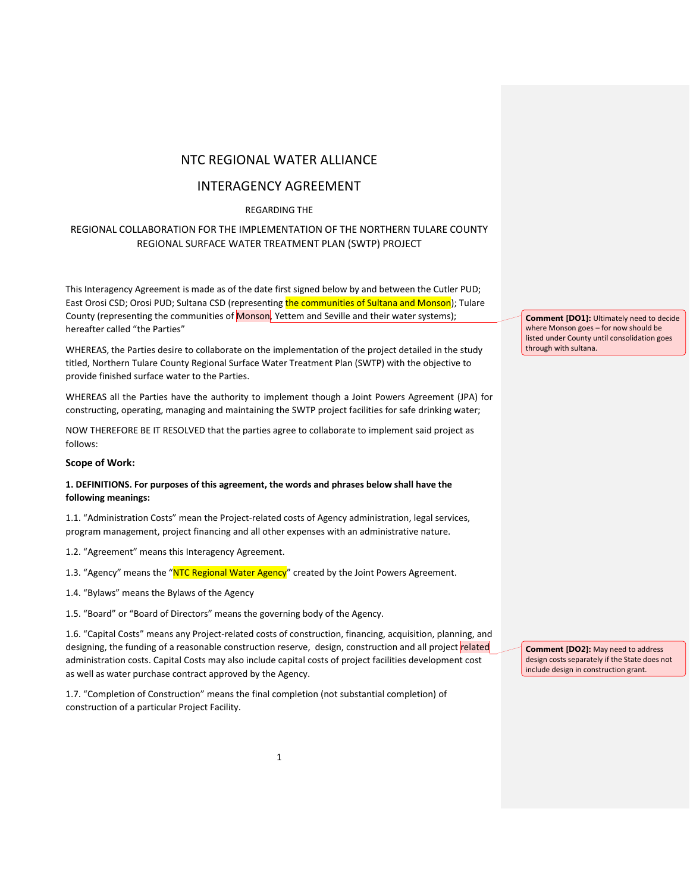# NTC REGIONAL WATER ALLIANCE

# INTERAGENCY AGREEMENT

# REGARDING THE

# REGIONAL COLLABORATION FOR THE IMPLEMENTATION OF THE NORTHERN TULARE COUNTY REGIONAL SURFACE WATER TREATMENT PLAN (SWTP) PROJECT

This Interagency Agreement is made as of the date first signed below by and between the Cutler PUD; East Orosi CSD; Orosi PUD; Sultana CSD (representing the communities of Sultana and Monson); Tulare County (representing the communities of Monson, Yettem and Seville and their water systems); hereafter called "the Parties"

WHEREAS, the Parties desire to collaborate on the implementation of the project detailed in the study titled, Northern Tulare County Regional Surface Water Treatment Plan (SWTP) with the objective to provide finished surface water to the Parties.

WHEREAS all the Parties have the authority to implement though a Joint Powers Agreement (JPA) for constructing, operating, managing and maintaining the SWTP project facilities for safe drinking water;

NOW THEREFORE BE IT RESOLVED that the parties agree to collaborate to implement said project as folIows:

### **Scope of Work:**

## **1. DEFINITIONS. For purposes of this agreement, the words and phrases below shall have the following meanings:**

1.1. "Administration Costs" mean the Project-related costs of Agency administration, legal services, program management, project financing and all other expenses with an administrative nature.

1.2. "Agreement" means this Interagency Agreement.

1.3. "Agency" means the "NTC Regional Water Agency" created by the Joint Powers Agreement.

1.4. "Bylaws" means the Bylaws of the Agency

1.5. "Board" or "Board of Directors" means the governing body of the Agency.

1.6. "Capital Costs" means any Project-related costs of construction, financing, acquisition, planning, and designing, the funding of a reasonable construction reserve, design, construction and all project related administration costs. Capital Costs may also include capital costs of project facilities development cost as well as water purchase contract approved by the Agency.

1.7. "Completion of Construction" means the final completion (not substantial completion) of construction of a particular Project Facility.

**Comment [DO1]:** Ultimately need to decide where Monson goes – for now should be listed under County until consolidation goes through with sultana.

**Comment [DO2]:** May need to address design costs separately if the State does not include design in construction grant.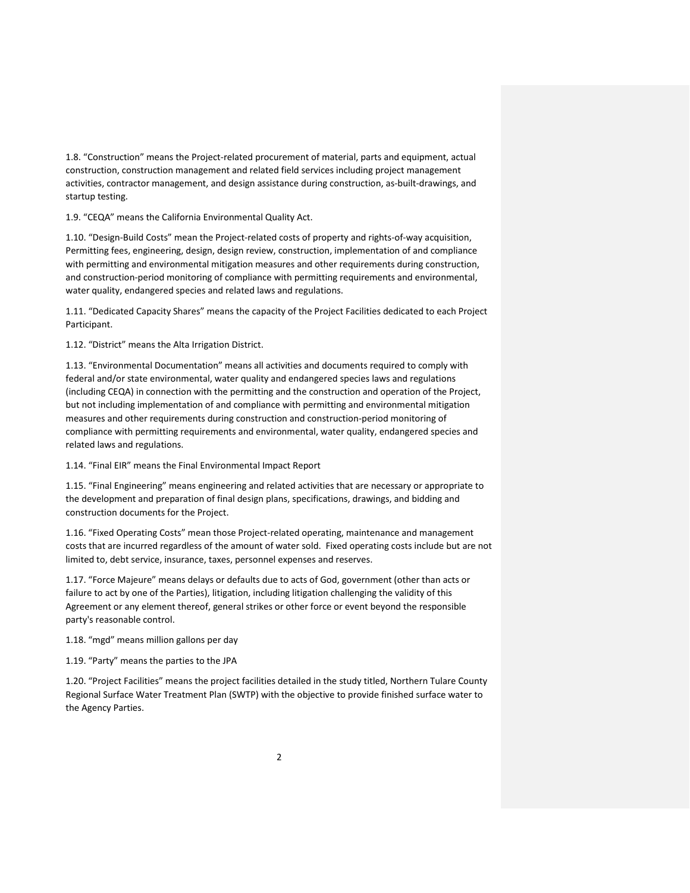1.8. "Construction" means the Project-related procurement of material, parts and equipment, actual construction, construction management and related field services including project management activities, contractor management, and design assistance during construction, as-built-drawings, and startup testing.

1.9. "CEQA" means the California Environmental Quality Act.

1.10. "Design-Build Costs" mean the Project-related costs of property and rights-of-way acquisition, Permitting fees, engineering, design, design review, construction, implementation of and compliance with permitting and environmental mitigation measures and other requirements during construction, and construction-period monitoring of compliance with permitting requirements and environmental, water quality, endangered species and related laws and regulations.

1.11. "Dedicated Capacity Shares" means the capacity of the Project Facilities dedicated to each Project Participant.

1.12. "District" means the Alta Irrigation District.

1.13. "Environmental Documentation" means all activities and documents required to comply with federal and/or state environmental, water quality and endangered species laws and regulations (including CEQA) in connection with the permitting and the construction and operation of the Project, but not including implementation of and compliance with permitting and environmental mitigation measures and other requirements during construction and construction-period monitoring of compliance with permitting requirements and environmental, water quality, endangered species and related laws and regulations.

1.14. "Final EIR" means the Final Environmental Impact Report

1.15. "Final Engineering" means engineering and related activities that are necessary or appropriate to the development and preparation of final design plans, specifications, drawings, and bidding and construction documents for the Project.

1.16. "Fixed Operating Costs" mean those Project-related operating, maintenance and management costs that are incurred regardless of the amount of water sold. Fixed operating costs include but are not limited to, debt service, insurance, taxes, personnel expenses and reserves.

1.17. "Force Majeure" means delays or defaults due to acts of God, government (other than acts or failure to act by one of the Parties), litigation, including litigation challenging the validity of this Agreement or any element thereof, general strikes or other force or event beyond the responsible party's reasonable control.

1.18. "mgd" means million gallons per day

1.19. "Party" means the parties to the JPA

1.20. "Project Facilities" means the project facilities detailed in the study titled, Northern Tulare County Regional Surface Water Treatment Plan (SWTP) with the objective to provide finished surface water to the Agency Parties.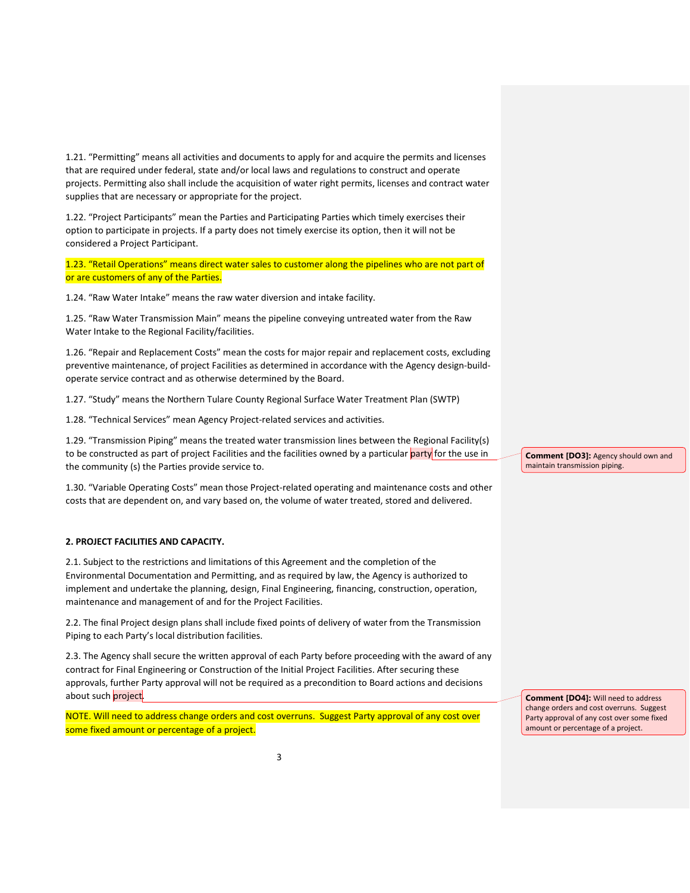1.21. "Permitting" means all activities and documents to apply for and acquire the permits and licenses that are required under federal, state and/or local laws and regulations to construct and operate projects. Permitting also shall include the acquisition of water right permits, licenses and contract water supplies that are necessary or appropriate for the project.

1.22. "Project Participants" mean the Parties and Participating Parties which timely exercises their option to participate in projects. If a party does not timely exercise its option, then it will not be considered a Project Participant.

1.23. "Retail Operations" means direct water sales to customer along the pipelines who are not part of or are customers of any of the Parties.

1.24. "Raw Water Intake" means the raw water diversion and intake facility.

1.25. "Raw Water Transmission Main" means the pipeline conveying untreated water from the Raw Water Intake to the Regional Facility/facilities.

1.26. "Repair and Replacement Costs" mean the costs for major repair and replacement costs, excluding preventive maintenance, of project Facilities as determined in accordance with the Agency design-buildoperate service contract and as otherwise determined by the Board.

1.27. "Study" means the Northern Tulare County Regional Surface Water Treatment Plan (SWTP)

1.28. "Technical Services" mean Agency Project-related services and activities.

1.29. "Transmission Piping" means the treated water transmission lines between the Regional Facility(s) to be constructed as part of project Facilities and the facilities owned by a particular party for the use in the community (s) the Parties provide service to.

1.30. "Variable Operating Costs" mean those Project-related operating and maintenance costs and other costs that are dependent on, and vary based on, the volume of water treated, stored and delivered.

### **2. PROJECT FACILITIES AND CAPACITY.**

2.1. Subject to the restrictions and limitations of this Agreement and the completion of the Environmental Documentation and Permitting, and as required by law, the Agency is authorized to implement and undertake the planning, design, Final Engineering, financing, construction, operation, maintenance and management of and for the Project Facilities.

2.2. The final Project design plans shall include fixed points of delivery of water from the Transmission Piping to each Party's local distribution facilities.

2.3. The Agency shall secure the written approval of each Party before proceeding with the award of any contract for Final Engineering or Construction of the Initial Project Facilities. After securing these approvals, further Party approval will not be required as a precondition to Board actions and decisions about such project.

NOTE. Will need to address change orders and cost overruns. Suggest Party approval of any cost over some fixed amount or percentage of a project.

**Comment [DO3]:** Agency should own and maintain transmission piping.

**Comment [DO4]:** Will need to address change orders and cost overruns. Suggest Party approval of any cost over some fixed amount or percentage of a project.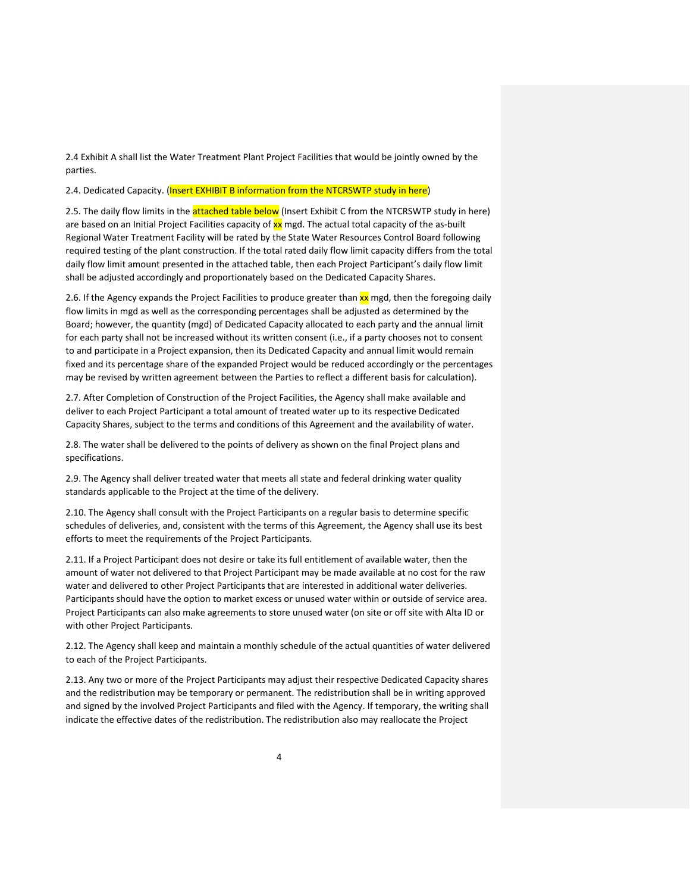2.4 Exhibit A shall list the Water Treatment Plant Project Facilities that would be jointly owned by the parties.

2.4. Dedicated Capacity. (Insert EXHIBIT B information from the NTCRSWTP study in here)

2.5. The daily flow limits in the **attached table below** (Insert Exhibit C from the NTCRSWTP study in here) are based on an Initial Project Facilities capacity of xx mgd. The actual total capacity of the as-built Regional Water Treatment Facility will be rated by the State Water Resources Control Board following required testing of the plant construction. If the total rated daily flow limit capacity differs from the total daily flow limit amount presented in the attached table, then each Project Participant's daily flow limit shall be adjusted accordingly and proportionately based on the Dedicated Capacity Shares.

2.6. If the Agency expands the Project Facilities to produce greater than xx mgd, then the foregoing daily flow limits in mgd as well as the corresponding percentages shall be adjusted as determined by the Board; however, the quantity (mgd) of Dedicated Capacity allocated to each party and the annual limit for each party shall not be increased without its written consent (i.e., if a party chooses not to consent to and participate in a Project expansion, then its Dedicated Capacity and annual limit would remain fixed and its percentage share of the expanded Project would be reduced accordingly or the percentages may be revised by written agreement between the Parties to reflect a different basis for calculation).

2.7. After Completion of Construction of the Project Facilities, the Agency shall make available and deliver to each Project Participant a total amount of treated water up to its respective Dedicated Capacity Shares, subject to the terms and conditions of this Agreement and the availability of water.

2.8. The water shall be delivered to the points of delivery as shown on the final Project plans and specifications.

2.9. The Agency shall deliver treated water that meets all state and federal drinking water quality standards applicable to the Project at the time of the delivery.

2.10. The Agency shall consult with the Project Participants on a regular basis to determine specific schedules of deliveries, and, consistent with the terms of this Agreement, the Agency shall use its best efforts to meet the requirements of the Project Participants.

2.11. If a Project Participant does not desire or take its full entitlement of available water, then the amount of water not delivered to that Project Participant may be made available at no cost for the raw water and delivered to other Project Participants that are interested in additional water deliveries. Participants should have the option to market excess or unused water within or outside of service area. Project Participants can also make agreements to store unused water (on site or off site with Alta ID or with other Project Participants.

2.12. The Agency shall keep and maintain a monthly schedule of the actual quantities of water delivered to each of the Project Participants.

2.13. Any two or more of the Project Participants may adjust their respective Dedicated Capacity shares and the redistribution may be temporary or permanent. The redistribution shall be in writing approved and signed by the involved Project Participants and filed with the Agency. If temporary, the writing shall indicate the effective dates of the redistribution. The redistribution also may reallocate the Project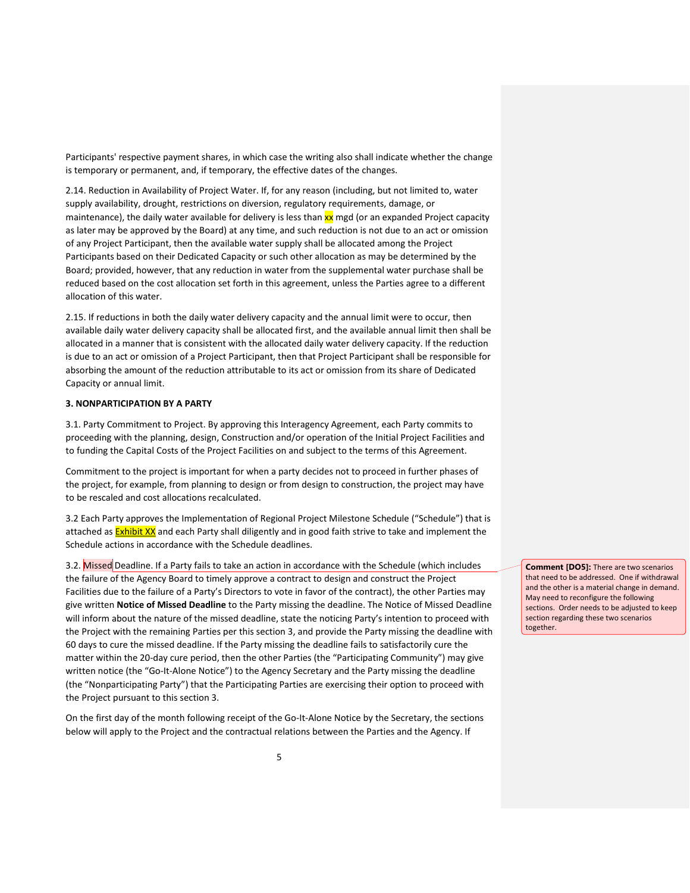Participants' respective payment shares, in which case the writing also shall indicate whether the change is temporary or permanent, and, if temporary, the effective dates of the changes.

2.14. Reduction in Availability of Project Water. If, for any reason (including, but not limited to, water supply availability, drought, restrictions on diversion, regulatory requirements, damage, or maintenance), the daily water available for delivery is less than  $xx$  mgd (or an expanded Project capacity as later may be approved by the Board) at any time, and such reduction is not due to an act or omission of any Project Participant, then the available water supply shall be allocated among the Project Participants based on their Dedicated Capacity or such other allocation as may be determined by the Board; provided, however, that any reduction in water from the supplemental water purchase shall be reduced based on the cost allocation set forth in this agreement, unless the Parties agree to a different allocation of this water.

2.15. If reductions in both the daily water delivery capacity and the annual limit were to occur, then available daily water delivery capacity shall be allocated first, and the available annual limit then shall be allocated in a manner that is consistent with the allocated daily water delivery capacity. If the reduction is due to an act or omission of a Project Participant, then that Project Participant shall be responsible for absorbing the amount of the reduction attributable to its act or omission from its share of Dedicated Capacity or annual limit.

### **3. NONPARTICIPATION BY A PARTY**

3.1. Party Commitment to Project. By approving this Interagency Agreement, each Party commits to proceeding with the planning, design, Construction and/or operation of the Initial Project Facilities and to funding the Capital Costs of the Project Facilities on and subject to the terms of this Agreement.

Commitment to the project is important for when a party decides not to proceed in further phases of the project, for example, from planning to design or from design to construction, the project may have to be rescaled and cost allocations recalculated.

3.2 Each Party approves the Implementation of Regional Project Milestone Schedule ("Schedule") that is attached as **Exhibit XX** and each Party shall diligently and in good faith strive to take and implement the Schedule actions in accordance with the Schedule deadlines.

3.2. Missed Deadline. If a Party fails to take an action in accordance with the Schedule (which includes the failure of the Agency Board to timely approve a contract to design and construct the Project Facilities due to the failure of a Party's Directors to vote in favor of the contract), the other Parties may give written **Notice of Missed Deadline** to the Party missing the deadline. The Notice of Missed Deadline will inform about the nature of the missed deadline, state the noticing Party's intention to proceed with the Project with the remaining Parties per this section 3, and provide the Party missing the deadline with 60 days to cure the missed deadline. If the Party missing the deadline fails to satisfactorily cure the matter within the 20-day cure period, then the other Parties (the "Participating Community") may give written notice (the "Go-It-Alone Notice") to the Agency Secretary and the Party missing the deadline (the "Nonparticipating Party") that the Participating Parties are exercising their option to proceed with the Project pursuant to this section 3.

On the first day of the month following receipt of the Go-It-Alone Notice by the Secretary, the sections below will apply to the Project and the contractual relations between the Parties and the Agency. If

**Comment [DO5]:** There are two scenarios that need to be addressed. One if withdrawal and the other is a material change in demand. May need to reconfigure the following sections. Order needs to be adjusted to keep section regarding these two scenarios together.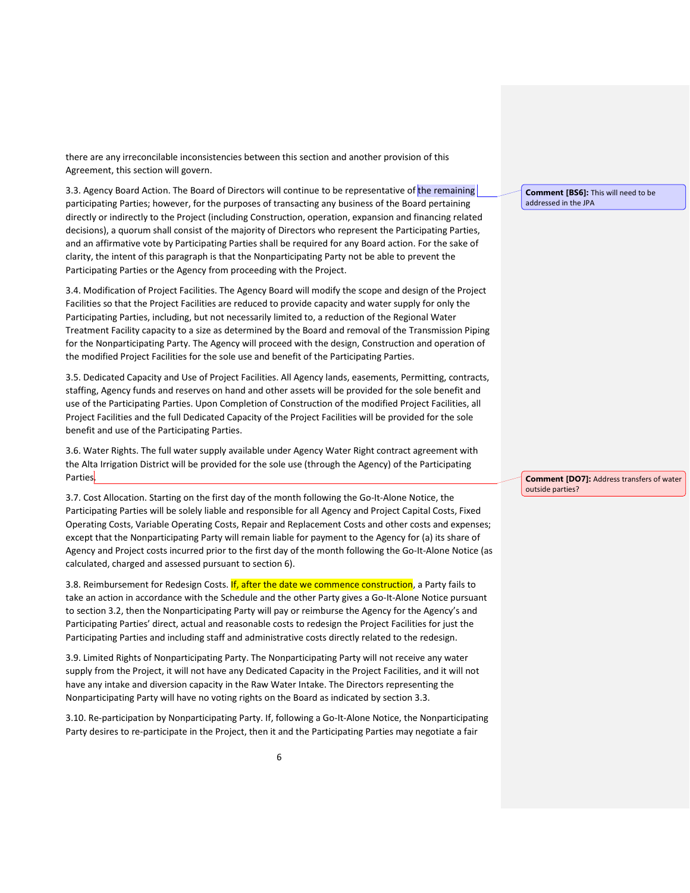there are any irreconcilable inconsistencies between this section and another provision of this Agreement, this section will govern.

3.3. Agency Board Action. The Board of Directors will continue to be representative of the remaining participating Parties; however, for the purposes of transacting any business of the Board pertaining directly or indirectly to the Project (including Construction, operation, expansion and financing related decisions), a quorum shall consist of the majority of Directors who represent the Participating Parties, and an affirmative vote by Participating Parties shall be required for any Board action. For the sake of clarity, the intent of this paragraph is that the Nonparticipating Party not be able to prevent the Participating Parties or the Agency from proceeding with the Project.

3.4. Modification of Project Facilities. The Agency Board will modify the scope and design of the Project Facilities so that the Project Facilities are reduced to provide capacity and water supply for only the Participating Parties, including, but not necessarily limited to, a reduction of the Regional Water Treatment Facility capacity to a size as determined by the Board and removal of the Transmission Piping for the Nonparticipating Party. The Agency will proceed with the design, Construction and operation of the modified Project Facilities for the sole use and benefit of the Participating Parties.

3.5. Dedicated Capacity and Use of Project Facilities. All Agency lands, easements, Permitting, contracts, staffing, Agency funds and reserves on hand and other assets will be provided for the sole benefit and use of the Participating Parties. Upon Completion of Construction of the modified Project Facilities, all Project Facilities and the full Dedicated Capacity of the Project Facilities will be provided for the sole benefit and use of the Participating Parties.

3.6. Water Rights. The full water supply available under Agency Water Right contract agreement with the Alta Irrigation District will be provided for the sole use (through the Agency) of the Participating Parties.

3.7. Cost Allocation. Starting on the first day of the month following the Go-It-Alone Notice, the Participating Parties will be solely liable and responsible for all Agency and Project Capital Costs, Fixed Operating Costs, Variable Operating Costs, Repair and Replacement Costs and other costs and expenses; except that the Nonparticipating Party will remain liable for payment to the Agency for (a) its share of Agency and Project costs incurred prior to the first day of the month following the Go-It-Alone Notice (as calculated, charged and assessed pursuant to section 6).

3.8. Reimbursement for Redesign Costs. If, after the date we commence construction, a Party fails to take an action in accordance with the Schedule and the other Party gives a Go-It-Alone Notice pursuant to section 3.2, then the Nonparticipating Party will pay or reimburse the Agency for the Agency's and Participating Parties' direct, actual and reasonable costs to redesign the Project Facilities for just the Participating Parties and including staff and administrative costs directly related to the redesign.

3.9. Limited Rights of Nonparticipating Party. The Nonparticipating Party will not receive any water supply from the Project, it will not have any Dedicated Capacity in the Project Facilities, and it will not have any intake and diversion capacity in the Raw Water Intake. The Directors representing the Nonparticipating Party will have no voting rights on the Board as indicated by section 3.3.

3.10. Re-participation by Nonparticipating Party. If, following a Go-It-Alone Notice, the Nonparticipating Party desires to re-participate in the Project, then it and the Participating Parties may negotiate a fair

**Comment [BS6]:** This will need to be addressed in the JPA

**Comment [DO7]:** Address transfers of water outside parties?